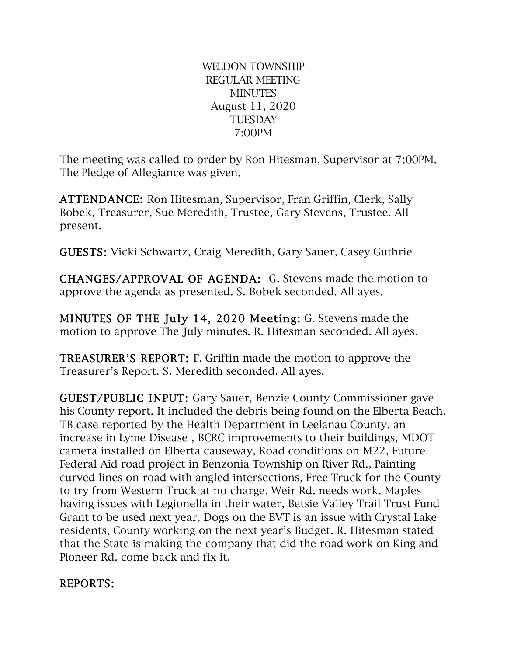WELDON TOWNSHIP REGULAR MEETING **MINUTES** August 11, 2020 **TUESDAY** 7:00PM

The meeting was called to order by Ron Hitesman, Supervisor at 7:00PM. The Pledge of Allegiance was given.

ATTENDANCE: Ron Hitesman, Supervisor, Fran Griffin, Clerk, Sally Bobek, Treasurer, Sue Meredith, Trustee, Gary Stevens, Trustee. All present.

GUESTS: Vicki Schwartz, Craig Meredith, Gary Sauer, Casey Guthrie

CHANGES/APPROVAL OF AGENDA: G. Stevens made the motion to approve the agenda as presented. S. Bobek seconded. All ayes.

MINUTES OF THE July 14, 2020 Meeting: G. Stevens made the motion to approve The July minutes. R. Hitesman seconded. All ayes.

TREASURER'S REPORT: F. Griffin made the motion to approve the Treasurer's Report. S. Meredith seconded. All ayes.

GUEST/PUBLIC INPUT: Gary Sauer, Benzie County Commissioner gave his County report. It included the debris being found on the Elberta Beach, TB case reported by the Health Department in Leelanau County, an increase in Lyme Disease , BCRC improvements to their buildings, MDOT camera installed on Elberta causeway, Road conditions on M22, Future Federal Aid road project in Benzonia Township on River Rd., Painting curved lines on road with angled intersections, Free Truck for the County to try from Western Truck at no charge, Weir Rd. needs work, Maples having issues with Legionella in their water, Betsie Valley Trail Trust Fund Grant to be used next year, Dogs on the BVT is an issue with Crystal Lake residents, County working on the next year's Budget. R. Hitesman stated that the State is making the company that did the road work on King and Pioneer Rd. come back and fix it.

## REPORTS: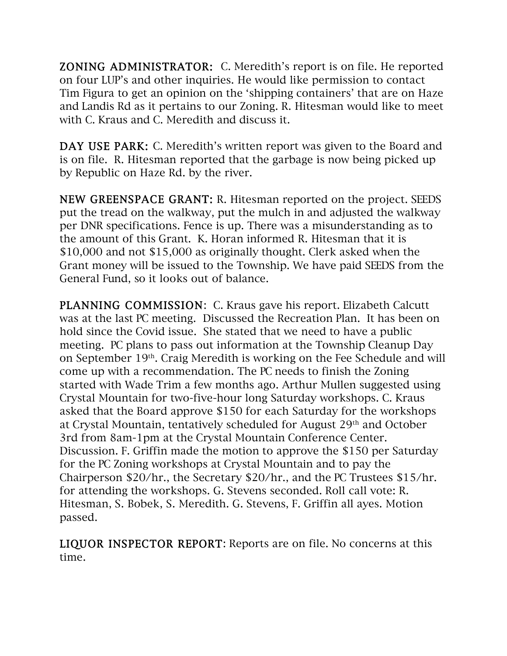ZONING ADMINISTRATOR: C. Meredith's report is on file. He reported on four LUP's and other inquiries. He would like permission to contact Tim Figura to get an opinion on the 'shipping containers' that are on Haze and Landis Rd as it pertains to our Zoning. R. Hitesman would like to meet with C. Kraus and C. Meredith and discuss it.

DAY USE PARK: C. Meredith's written report was given to the Board and is on file. R. Hitesman reported that the garbage is now being picked up by Republic on Haze Rd. by the river.

NEW GREENSPACE GRANT: R. Hitesman reported on the project. SEEDS put the tread on the walkway, put the mulch in and adjusted the walkway per DNR specifications. Fence is up. There was a misunderstanding as to the amount of this Grant. K. Horan informed R. Hitesman that it is \$10,000 and not \$15,000 as originally thought. Clerk asked when the Grant money will be issued to the Township. We have paid SEEDS from the General Fund, so it looks out of balance.

PLANNING COMMISSION: C. Kraus gave his report. Elizabeth Calcutt was at the last PC meeting. Discussed the Recreation Plan. It has been on hold since the Covid issue. She stated that we need to have a public meeting. PC plans to pass out information at the Township Cleanup Day on September 19th. Craig Meredith is working on the Fee Schedule and will come up with a recommendation. The PC needs to finish the Zoning started with Wade Trim a few months ago. Arthur Mullen suggested using Crystal Mountain for two-five-hour long Saturday workshops. C. Kraus asked that the Board approve \$150 for each Saturday for the workshops at Crystal Mountain, tentatively scheduled for August 29th and October 3rd from 8am-1pm at the Crystal Mountain Conference Center. Discussion. F. Griffin made the motion to approve the \$150 per Saturday for the PC Zoning workshops at Crystal Mountain and to pay the Chairperson \$20/hr., the Secretary \$20/hr., and the PC Trustees \$15/hr. for attending the workshops. G. Stevens seconded. Roll call vote: R. Hitesman, S. Bobek, S. Meredith. G. Stevens, F. Griffin all ayes. Motion passed.

LIQUOR INSPECTOR REPORT: Reports are on file. No concerns at this time.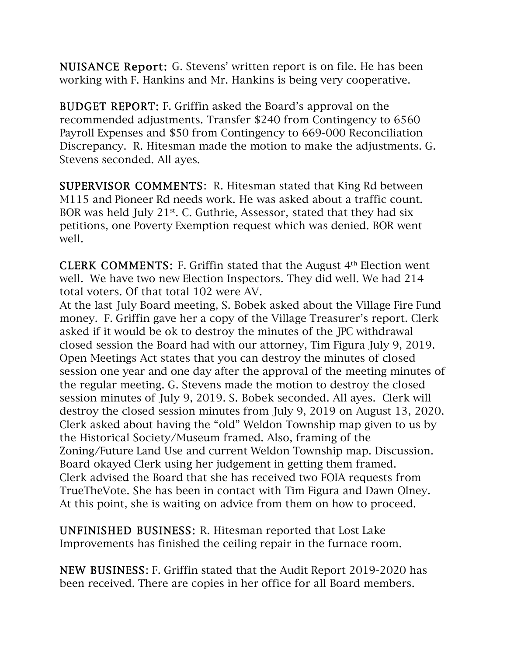NUISANCE Report: G. Stevens' written report is on file. He has been working with F. Hankins and Mr. Hankins is being very cooperative.

BUDGET REPORT: F. Griffin asked the Board's approval on the recommended adjustments. Transfer \$240 from Contingency to 6560 Payroll Expenses and \$50 from Contingency to 669-000 Reconciliation Discrepancy. R. Hitesman made the motion to make the adjustments. G. Stevens seconded. All ayes.

SUPERVISOR COMMENTS: R. Hitesman stated that King Rd between M115 and Pioneer Rd needs work. He was asked about a traffic count. BOR was held July 21<sup>st</sup>. C. Guthrie, Assessor, stated that they had six petitions, one Poverty Exemption request which was denied. BOR went well.

**CLERK COMMENTS:** F. Griffin stated that the August  $4<sup>th</sup>$  Election went well. We have two new Election Inspectors. They did well. We had 214 total voters. Of that total 102 were AV.

At the last July Board meeting, S. Bobek asked about the Village Fire Fund money. F. Griffin gave her a copy of the Village Treasurer's report. Clerk asked if it would be ok to destroy the minutes of the JPC withdrawal closed session the Board had with our attorney, Tim Figura July 9, 2019. Open Meetings Act states that you can destroy the minutes of closed session one year and one day after the approval of the meeting minutes of the regular meeting. G. Stevens made the motion to destroy the closed session minutes of July 9, 2019. S. Bobek seconded. All ayes. Clerk will destroy the closed session minutes from July 9, 2019 on August 13, 2020. Clerk asked about having the "old" Weldon Township map given to us by the Historical Society/Museum framed. Also, framing of the Zoning/Future Land Use and current Weldon Township map. Discussion. Board okayed Clerk using her judgement in getting them framed. Clerk advised the Board that she has received two FOIA requests from TrueTheVote. She has been in contact with Tim Figura and Dawn Olney. At this point, she is waiting on advice from them on how to proceed.

UNFINISHED BUSINESS: R. Hitesman reported that Lost Lake Improvements has finished the ceiling repair in the furnace room.

NEW BUSINESS: F. Griffin stated that the Audit Report 2019-2020 has been received. There are copies in her office for all Board members.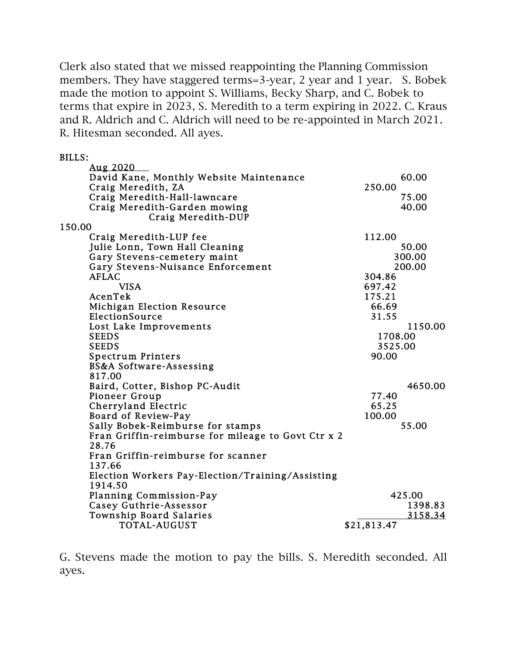Clerk also stated that we missed reappointing the Planning Commission members. They have staggered terms=3-year, 2 year and 1 year. S. Bobek made the motion to appoint S. Williams, Becky Sharp, and C. Bobek to terms that expire in 2023, S. Meredith to a term expiring in 2022. C. Kraus and R. Aldrich and C. Aldrich will need to be re-appointed in March 2021. R. Hitesman seconded. All ayes.

BILLS:

| Aug 2020                                           |             |         |
|----------------------------------------------------|-------------|---------|
| David Kane, Monthly Website Maintenance            |             | 60.00   |
| Craig Meredith, ZA                                 | 250.00      |         |
| Craig Meredith-Hall-lawncare                       |             | 75.00   |
| Craig Meredith-Garden mowing                       |             | 40.00   |
| Craig Meredith-DUP                                 |             |         |
| 150.00                                             |             |         |
| Craig Meredith-LUP fee                             | 112.00      |         |
| Julie Lonn, Town Hall Cleaning                     |             | 50.00   |
| Gary Stevens-cemetery maint                        |             | 300.00  |
| Gary Stevens-Nuisance Enforcement                  |             | 200.00  |
| <b>AFLAC</b>                                       | 304.86      |         |
| <b>VISA</b>                                        | 697.42      |         |
| AcenTek                                            | 175.21      |         |
| <b>Michigan Election Resource</b>                  | 66.69       |         |
| ElectionSource                                     | 31.55       |         |
| Lost Lake Improvements                             |             | 1150.00 |
| <b>SEEDS</b>                                       | 1708.00     |         |
| <b>SEEDS</b>                                       | 3525.00     |         |
| <b>Spectrum Printers</b>                           | 90.00       |         |
| BS&A Software-Assessing                            |             |         |
| 817.00                                             |             |         |
| Baird, Cotter, Bishop PC-Audit                     |             | 4650.00 |
| Pioneer Group                                      | 77.40       |         |
| Cherryland Electric                                | 65.25       |         |
| Board of Review-Pay                                | 100.00      |         |
| Sally Bobek-Reimburse for stamps                   |             | 55.00   |
| Fran Griffin-reimburse for mileage to Govt Ctr x 2 |             |         |
| 28.76                                              |             |         |
| Fran Griffin-reimburse for scanner                 |             |         |
| 137.66                                             |             |         |
| Election Workers Pay-Election/Training/Assisting   |             |         |
| 1914.50                                            |             |         |
| Planning Commission-Pay                            |             | 425.00  |
| Casey Guthrie-Assessor                             |             | 1398.83 |
| Township Board Salaries                            |             | 3158.34 |
| TOTAL-AUGUST                                       | \$21,813.47 |         |

G. Stevens made the motion to pay the bills. S. Meredith seconded. All ayes.